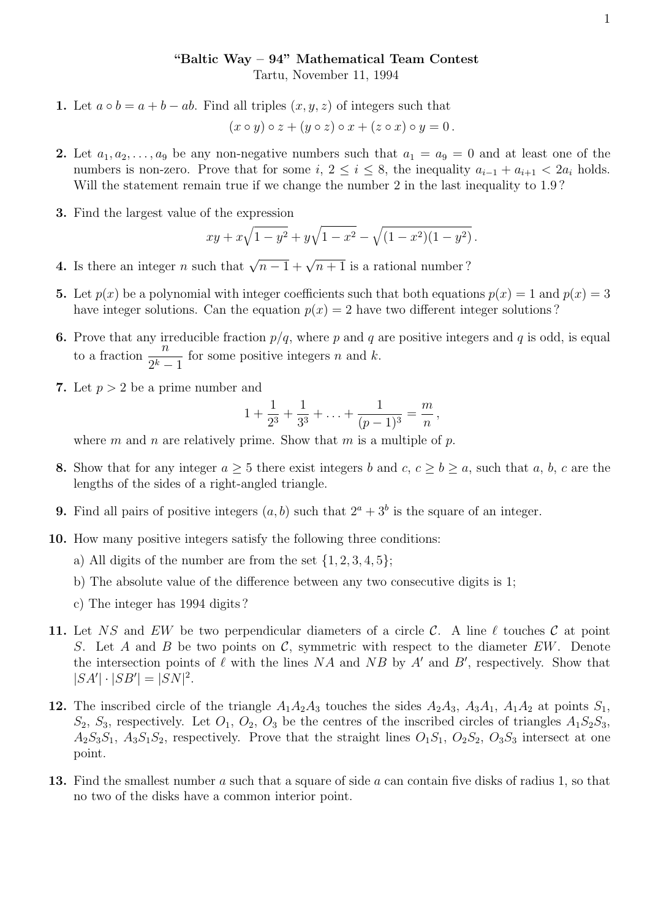## "Baltic Way – 94" Mathematical Team Contest

Tartu, November 11, 1994

1. Let  $a \circ b = a + b - ab$ . Find all triples  $(x, y, z)$  of integers such that

$$
(x \circ y) \circ z + (y \circ z) \circ x + (z \circ x) \circ y = 0.
$$

- 2. Let  $a_1, a_2, \ldots, a_9$  be any non-negative numbers such that  $a_1 = a_9 = 0$  and at least one of the numbers is non-zero. Prove that for some  $i, 2 \le i \le 8$ , the inequality  $a_{i-1} + a_{i+1} < 2a_i$  holds. Will the statement remain true if we change the number 2 in the last inequality to 1.9?
- 3. Find the largest value of the expression

$$
xy + x\sqrt{1 - y^2} + y\sqrt{1 - x^2} - \sqrt{(1 - x^2)(1 - y^2)}.
$$

- **4.** Is there an integer *n* such that  $\sqrt{n-1} + \sqrt{n+1}$  is a rational number?
- **5.** Let  $p(x)$  be a polynomial with integer coefficients such that both equations  $p(x) = 1$  and  $p(x) = 3$ have integer solutions. Can the equation  $p(x) = 2$  have two different integer solutions?
- **6.** Prove that any irreducible fraction  $p/q$ , where p and q are positive integers and q is odd, is equal to a fraction  $\frac{n}{\alpha k}$  $\frac{n}{2^k-1}$  for some positive integers *n* and *k*.
- 7. Let  $p > 2$  be a prime number and

$$
1 + \frac{1}{2^3} + \frac{1}{3^3} + \ldots + \frac{1}{(p-1)^3} = \frac{m}{n},
$$

where m and n are relatively prime. Show that m is a multiple of p.

- 8. Show that for any integer  $a \geq 5$  there exist integers b and  $c, c \geq b \geq a$ , such that a, b, c are the lengths of the sides of a right-angled triangle.
- **9.** Find all pairs of positive integers  $(a, b)$  such that  $2^a + 3^b$  is the square of an integer.
- 10. How many positive integers satisfy the following three conditions:
	- a) All digits of the number are from the set  $\{1, 2, 3, 4, 5\}$ ;
	- b) The absolute value of the difference between any two consecutive digits is 1;
	- c) The integer has 1994 digits ?
- 11. Let NS and EW be two perpendicular diameters of a circle C. A line  $\ell$  touches C at point S. Let A and B be two points on C, symmetric with respect to the diameter  $EW$ . Denote the intersection points of  $\ell$  with the lines NA and NB by A' and B', respectively. Show that  $|SA'| \cdot |SB'| = |SN|^2.$
- 12. The inscribed circle of the triangle  $A_1A_2A_3$  touches the sides  $A_2A_3$ ,  $A_3A_1$ ,  $A_1A_2$  at points  $S_1$ ,  $S_2$ ,  $S_3$ , respectively. Let  $O_1$ ,  $O_2$ ,  $O_3$  be the centres of the inscribed circles of triangles  $A_1S_2S_3$ ,  $A_2S_3S_1$ ,  $A_3S_1S_2$ , respectively. Prove that the straight lines  $O_1S_1$ ,  $O_2S_2$ ,  $O_3S_3$  intersect at one point.
- 13. Find the smallest number a such that a square of side a can contain five disks of radius 1, so that no two of the disks have a common interior point.